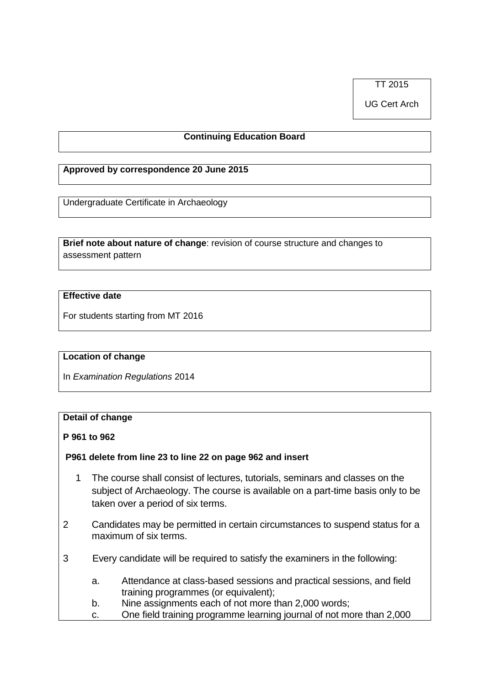TT 2015

UG Cert Arch

# **Continuing Education Board**

### **Approved by correspondence 20 June 2015**

Undergraduate Certificate in Archaeology

**Brief note about nature of change**: revision of course structure and changes to assessment pattern

## **Effective date**

For students starting from MT 2016

#### **Location of change**

In *Examination Regulations* 2014

# **Detail of change**

**P 961 to 962**

### **P961 delete from line 23 to line 22 on page 962 and insert**

- 1 The course shall consist of lectures, tutorials, seminars and classes on the subject of Archaeology. The course is available on a part-time basis only to be taken over a period of six terms.
- 2 Candidates may be permitted in certain circumstances to suspend status for a maximum of six terms.
- 3 Every candidate will be required to satisfy the examiners in the following:
	- a. Attendance at class-based sessions and practical sessions, and field training programmes (or equivalent);
	- b. Nine assignments each of not more than 2,000 words;
	- c. One field training programme learning journal of not more than 2,000